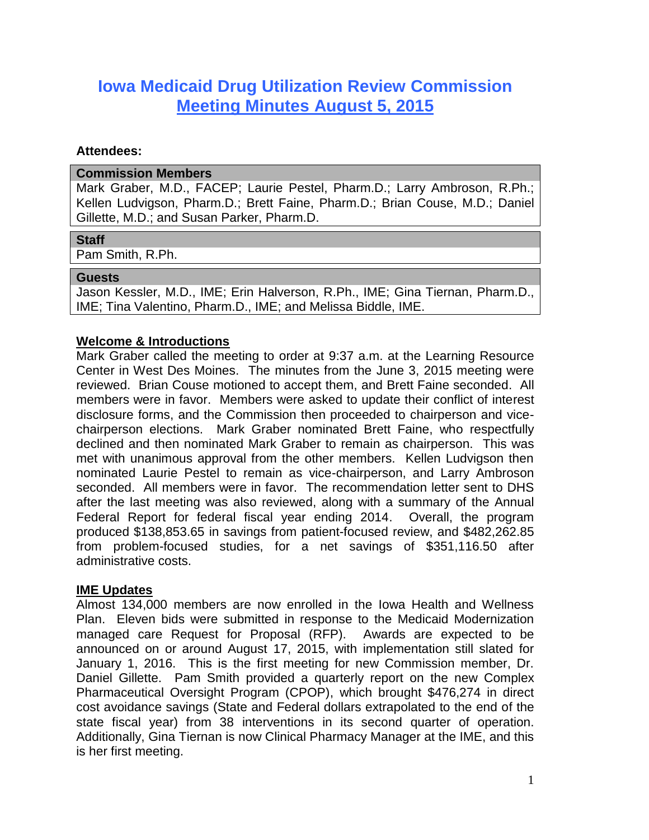# **Iowa Medicaid Drug Utilization Review Commission Meeting Minutes August 5, 2015**

#### **Attendees:**

#### **Commission Members**

Mark Graber, M.D., FACEP; Laurie Pestel, Pharm.D.; Larry Ambroson, R.Ph.; Kellen Ludvigson, Pharm.D.; Brett Faine, Pharm.D.; Brian Couse, M.D.; Daniel Gillette, M.D.; and Susan Parker, Pharm.D.

## **Staff**

Pam Smith, R.Ph.

#### **Guests**

Jason Kessler, M.D., IME; Erin Halverson, R.Ph., IME; Gina Tiernan, Pharm.D., IME; Tina Valentino, Pharm.D., IME; and Melissa Biddle, IME.

## **Welcome & Introductions**

Mark Graber called the meeting to order at 9:37 a.m. at the Learning Resource Center in West Des Moines. The minutes from the June 3, 2015 meeting were reviewed. Brian Couse motioned to accept them, and Brett Faine seconded. All members were in favor. Members were asked to update their conflict of interest disclosure forms, and the Commission then proceeded to chairperson and vicechairperson elections. Mark Graber nominated Brett Faine, who respectfully declined and then nominated Mark Graber to remain as chairperson. This was met with unanimous approval from the other members. Kellen Ludvigson then nominated Laurie Pestel to remain as vice-chairperson, and Larry Ambroson seconded. All members were in favor. The recommendation letter sent to DHS after the last meeting was also reviewed, along with a summary of the Annual Federal Report for federal fiscal year ending 2014. Overall, the program produced \$138,853.65 in savings from patient-focused review, and \$482,262.85 from problem-focused studies, for a net savings of \$351,116.50 after administrative costs.

## **IME Updates**

Almost 134,000 members are now enrolled in the Iowa Health and Wellness Plan. Eleven bids were submitted in response to the Medicaid Modernization managed care Request for Proposal (RFP). Awards are expected to be announced on or around August 17, 2015, with implementation still slated for January 1, 2016. This is the first meeting for new Commission member, Dr. Daniel Gillette. Pam Smith provided a quarterly report on the new Complex Pharmaceutical Oversight Program (CPOP), which brought \$476,274 in direct cost avoidance savings (State and Federal dollars extrapolated to the end of the state fiscal year) from 38 interventions in its second quarter of operation. Additionally, Gina Tiernan is now Clinical Pharmacy Manager at the IME, and this is her first meeting.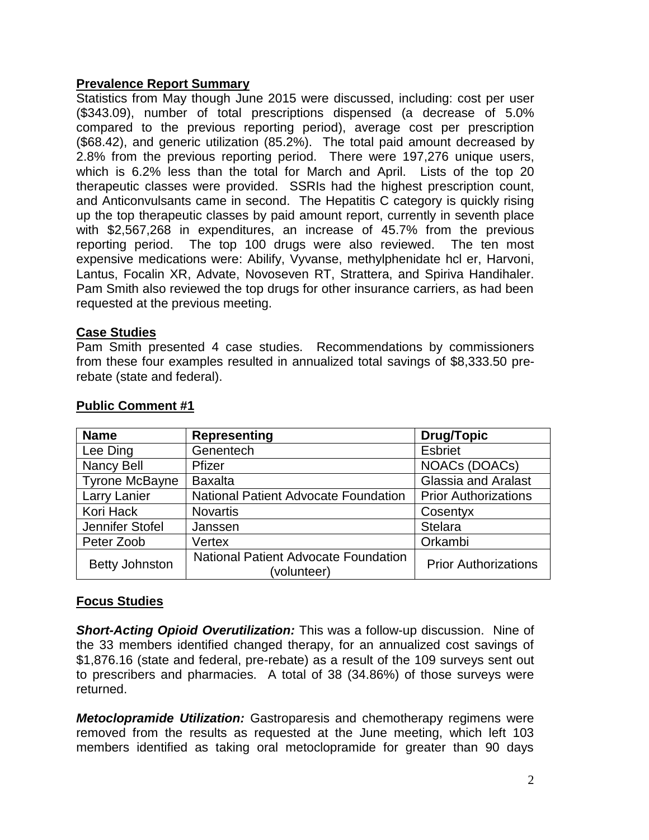## **Prevalence Report Summary**

Statistics from May though June 2015 were discussed, including: cost per user (\$343.09), number of total prescriptions dispensed (a decrease of 5.0% compared to the previous reporting period), average cost per prescription (\$68.42), and generic utilization (85.2%). The total paid amount decreased by 2.8% from the previous reporting period. There were 197,276 unique users, which is 6.2% less than the total for March and April. Lists of the top 20 therapeutic classes were provided. SSRIs had the highest prescription count, and Anticonvulsants came in second. The Hepatitis C category is quickly rising up the top therapeutic classes by paid amount report, currently in seventh place with \$2,567,268 in expenditures, an increase of 45.7% from the previous reporting period. The top 100 drugs were also reviewed. The ten most expensive medications were: Abilify, Vyvanse, methylphenidate hcl er, Harvoni, Lantus, Focalin XR, Advate, Novoseven RT, Strattera, and Spiriva Handihaler. Pam Smith also reviewed the top drugs for other insurance carriers, as had been requested at the previous meeting.

## **Case Studies**

Pam Smith presented 4 case studies. Recommendations by commissioners from these four examples resulted in annualized total savings of \$8,333.50 prerebate (state and federal).

| <b>Name</b>           | <b>Representing</b>                                        | Drug/Topic                  |  |
|-----------------------|------------------------------------------------------------|-----------------------------|--|
| Lee Ding              | Genentech                                                  | <b>Esbriet</b>              |  |
| <b>Nancy Bell</b>     | Pfizer                                                     | NOACs (DOACs)               |  |
| <b>Tyrone McBayne</b> | <b>Baxalta</b>                                             | <b>Glassia and Aralast</b>  |  |
| Larry Lanier          | <b>National Patient Advocate Foundation</b>                | <b>Prior Authorizations</b> |  |
| Kori Hack             | <b>Novartis</b>                                            | Cosentyx                    |  |
| Jennifer Stofel       | Janssen                                                    | <b>Stelara</b>              |  |
| Peter Zoob            | Vertex                                                     | Orkambi                     |  |
| <b>Betty Johnston</b> | <b>National Patient Advocate Foundation</b><br>(volunteer) | <b>Prior Authorizations</b> |  |

#### **Public Comment #1**

## **Focus Studies**

*Short-Acting Opioid Overutilization:* This was a follow-up discussion. Nine of the 33 members identified changed therapy, for an annualized cost savings of \$1,876.16 (state and federal, pre-rebate) as a result of the 109 surveys sent out to prescribers and pharmacies. A total of 38 (34.86%) of those surveys were returned.

*Metoclopramide Utilization:* Gastroparesis and chemotherapy regimens were removed from the results as requested at the June meeting, which left 103 members identified as taking oral metoclopramide for greater than 90 days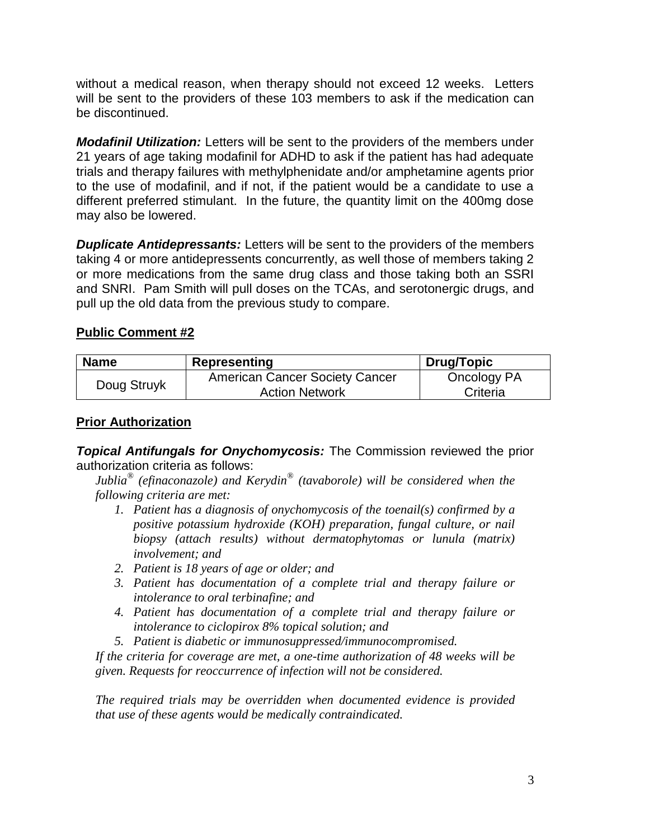without a medical reason, when therapy should not exceed 12 weeks. Letters will be sent to the providers of these 103 members to ask if the medication can be discontinued.

*Modafinil Utilization:* Letters will be sent to the providers of the members under 21 years of age taking modafinil for ADHD to ask if the patient has had adequate trials and therapy failures with methylphenidate and/or amphetamine agents prior to the use of modafinil, and if not, if the patient would be a candidate to use a different preferred stimulant. In the future, the quantity limit on the 400mg dose may also be lowered.

*Duplicate Antidepressants:* Letters will be sent to the providers of the members taking 4 or more antidepressents concurrently, as well those of members taking 2 or more medications from the same drug class and those taking both an SSRI and SNRI. Pam Smith will pull doses on the TCAs, and serotonergic drugs, and pull up the old data from the previous study to compare.

## **Public Comment #2**

| <b>Name</b> | Representing                          | <b>Drug/Topic</b> |
|-------------|---------------------------------------|-------------------|
| Doug Struyk | <b>American Cancer Society Cancer</b> | Oncology PA       |
|             | <b>Action Network</b>                 | Criteria          |

## **Prior Authorization**

*Topical Antifungals for Onychomycosis:* The Commission reviewed the prior authorization criteria as follows:

*Jublia*<sup>®</sup> (efinaconazole) and Kerydin<sup>®</sup> (tavaborole) will be considered when the *following criteria are met:*

- *1. Patient has a diagnosis of onychomycosis of the toenail(s) confirmed by a positive potassium hydroxide (KOH) preparation, fungal culture, or nail biopsy (attach results) without dermatophytomas or lunula (matrix) involvement; and*
- *2. Patient is 18 years of age or older; and*
- *3. Patient has documentation of a complete trial and therapy failure or intolerance to oral terbinafine; and*
- *4. Patient has documentation of a complete trial and therapy failure or intolerance to ciclopirox 8% topical solution; and*
- *5. Patient is diabetic or immunosuppressed/immunocompromised.*

*If the criteria for coverage are met, a one-time authorization of 48 weeks will be given. Requests for reoccurrence of infection will not be considered.*

*The required trials may be overridden when documented evidence is provided that use of these agents would be medically contraindicated.*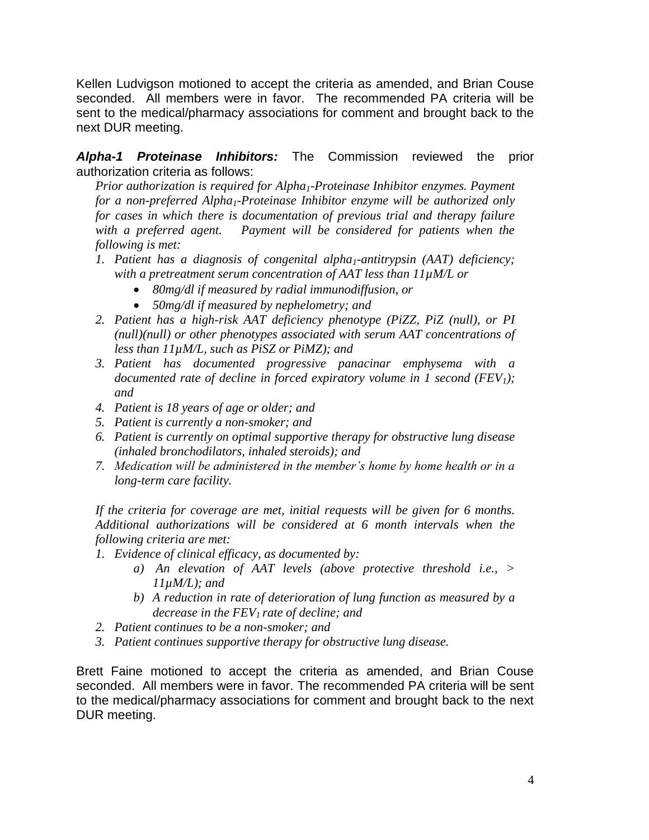Kellen Ludvigson motioned to accept the criteria as amended, and Brian Couse seconded. All members were in favor. The recommended PA criteria will be sent to the medical/pharmacy associations for comment and brought back to the next DUR meeting.

*Alpha-1 Proteinase Inhibitors:* The Commission reviewed the prior authorization criteria as follows:

*Prior authorization is required for Alpha1-Proteinase Inhibitor enzymes. Payment for a non-preferred Alpha1-Proteinase Inhibitor enzyme will be authorized only for cases in which there is documentation of previous trial and therapy failure with a preferred agent. Payment will be considered for patients when the following is met:*

- *1. Patient has a diagnosis of congenital alpha1-antitrypsin (AAT) deficiency; with a pretreatment serum concentration of AAT less than 11µM/L or*
	- *80mg/dl if measured by radial immunodiffusion, or*
	- *50mg/dl if measured by nephelometry; and*
- *2. Patient has a high-risk AAT deficiency phenotype (PiZZ, PiZ (null), or PI (null)(null) or other phenotypes associated with serum AAT concentrations of less than 11µM/L, such as PiSZ or PiMZ); and*
- *3. Patient has documented progressive panacinar emphysema with a documented rate of decline in forced expiratory volume in 1 second (FEV1); and*
- *4. Patient is 18 years of age or older; and*
- *5. Patient is currently a non-smoker; and*
- *6. Patient is currently on optimal supportive therapy for obstructive lung disease (inhaled bronchodilators, inhaled steroids); and*
- *7. Medication will be administered in the member's home by home health or in a long-term care facility.*

*If the criteria for coverage are met, initial requests will be given for 6 months. Additional authorizations will be considered at 6 month intervals when the following criteria are met:*

- *1. Evidence of clinical efficacy, as documented by:*
	- *a) An elevation of AAT levels (above protective threshold i.e., > 11µM/L); and*
	- *b) A reduction in rate of deterioration of lung function as measured by a decrease in the FEV<sup>1</sup> rate of decline; and*
- *2. Patient continues to be a non-smoker; and*
- *3. Patient continues supportive therapy for obstructive lung disease.*

Brett Faine motioned to accept the criteria as amended, and Brian Couse seconded. All members were in favor. The recommended PA criteria will be sent to the medical/pharmacy associations for comment and brought back to the next DUR meeting.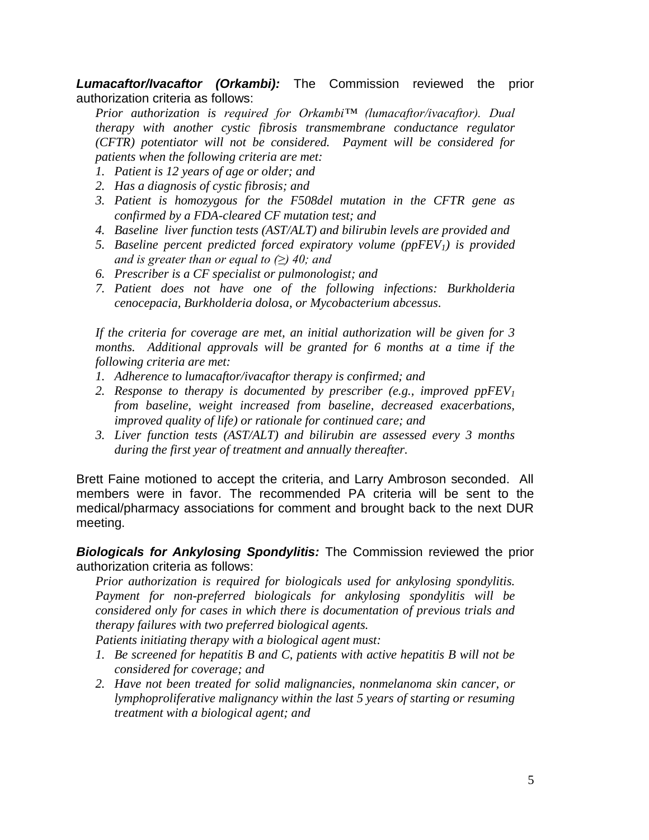*Lumacaftor/Ivacaftor (Orkambi):* The Commission reviewed the prior authorization criteria as follows:

*Prior authorization is required for Orkambi™ (lumacaftor/ivacaftor). Dual therapy with another cystic fibrosis transmembrane conductance regulator (CFTR) potentiator will not be considered. Payment will be considered for patients when the following criteria are met:* 

- *1. Patient is 12 years of age or older; and*
- *2. Has a diagnosis of cystic fibrosis; and*
- *3. Patient is homozygous for the F508del mutation in the CFTR gene as confirmed by a FDA-cleared CF mutation test; and*
- *4. Baseline liver function tests (AST/ALT) and bilirubin levels are provided and*
- *5. Baseline percent predicted forced expiratory volume (ppFEV1) is provided and is greater than or equal to (≥) 40; and*
- *6. Prescriber is a CF specialist or pulmonologist; and*
- *7. Patient does not have one of the following infections: Burkholderia cenocepacia, Burkholderia dolosa, or Mycobacterium abcessus.*

*If the criteria for coverage are met, an initial authorization will be given for 3 months. Additional approvals will be granted for 6 months at a time if the following criteria are met:*

- *1. Adherence to lumacaftor/ivacaftor therapy is confirmed; and*
- *2. Response to therapy is documented by prescriber (e.g., improved ppFEV<sup>1</sup> from baseline, weight increased from baseline, decreased exacerbations, improved quality of life) or rationale for continued care; and*
- *3. Liver function tests (AST/ALT) and bilirubin are assessed every 3 months during the first year of treatment and annually thereafter.*

Brett Faine motioned to accept the criteria, and Larry Ambroson seconded. All members were in favor. The recommended PA criteria will be sent to the medical/pharmacy associations for comment and brought back to the next DUR meeting.

*Biologicals for Ankylosing Spondylitis:* The Commission reviewed the prior authorization criteria as follows:

*Prior authorization is required for biologicals used for ankylosing spondylitis. Payment for non-preferred biologicals for ankylosing spondylitis will be considered only for cases in which there is documentation of previous trials and therapy failures with two preferred biological agents.* 

*Patients initiating therapy with a biological agent must:*

- *1. Be screened for hepatitis B and C, patients with active hepatitis B will not be considered for coverage; and*
- *2. Have not been treated for solid malignancies, nonmelanoma skin cancer, or lymphoproliferative malignancy within the last 5 years of starting or resuming treatment with a biological agent; and*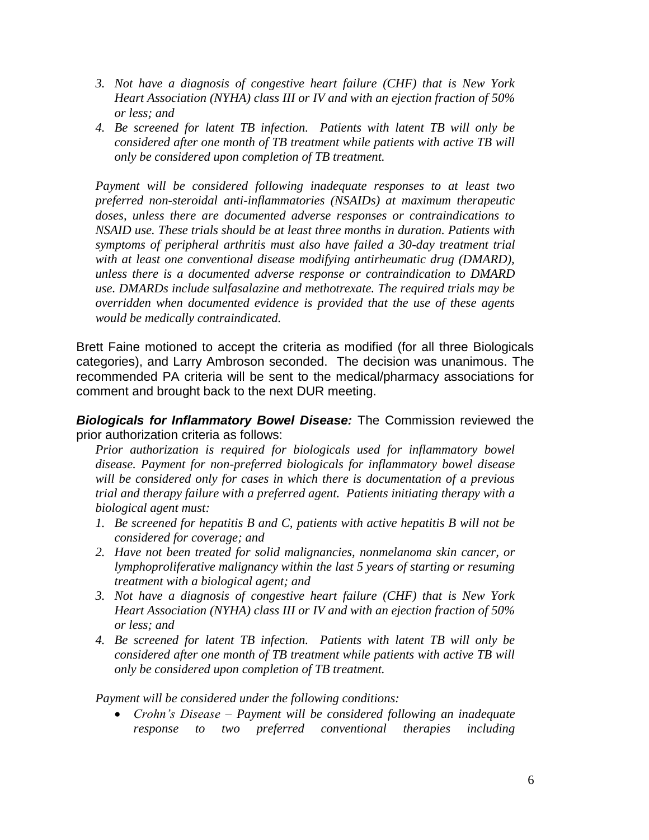- *3. Not have a diagnosis of congestive heart failure (CHF) that is New York Heart Association (NYHA) class III or IV and with an ejection fraction of 50% or less; and*
- *4. Be screened for latent TB infection. Patients with latent TB will only be considered after one month of TB treatment while patients with active TB will only be considered upon completion of TB treatment.*

*Payment will be considered following inadequate responses to at least two preferred non-steroidal anti-inflammatories (NSAIDs) at maximum therapeutic doses, unless there are documented adverse responses or contraindications to NSAID use. These trials should be at least three months in duration. Patients with symptoms of peripheral arthritis must also have failed a 30-day treatment trial with at least one conventional disease modifying antirheumatic drug (DMARD), unless there is a documented adverse response or contraindication to DMARD use. DMARDs include sulfasalazine and methotrexate. The required trials may be overridden when documented evidence is provided that the use of these agents would be medically contraindicated.*

Brett Faine motioned to accept the criteria as modified (for all three Biologicals categories), and Larry Ambroson seconded. The decision was unanimous. The recommended PA criteria will be sent to the medical/pharmacy associations for comment and brought back to the next DUR meeting.

*Biologicals for Inflammatory Bowel Disease:* The Commission reviewed the prior authorization criteria as follows:

*Prior authorization is required for biologicals used for inflammatory bowel disease. Payment for non-preferred biologicals for inflammatory bowel disease will be considered only for cases in which there is documentation of a previous trial and therapy failure with a preferred agent. Patients initiating therapy with a biological agent must:*

- *1. Be screened for hepatitis B and C, patients with active hepatitis B will not be considered for coverage; and*
- *2. Have not been treated for solid malignancies, nonmelanoma skin cancer, or lymphoproliferative malignancy within the last 5 years of starting or resuming treatment with a biological agent; and*
- *3. Not have a diagnosis of congestive heart failure (CHF) that is New York Heart Association (NYHA) class III or IV and with an ejection fraction of 50% or less; and*
- *4. Be screened for latent TB infection. Patients with latent TB will only be considered after one month of TB treatment while patients with active TB will only be considered upon completion of TB treatment.*

*Payment will be considered under the following conditions:*

 *Crohn's Disease – Payment will be considered following an inadequate response to two preferred conventional therapies including*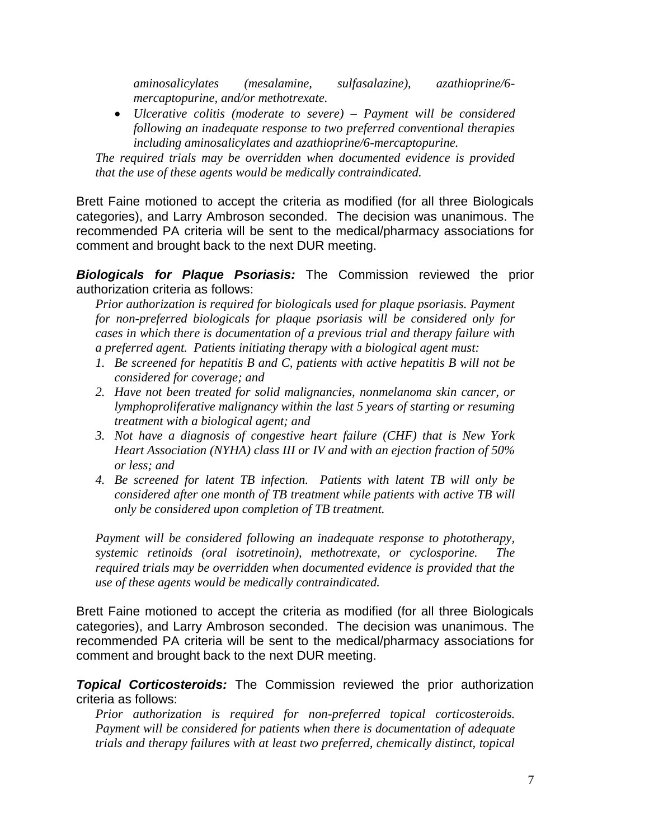*aminosalicylates (mesalamine, sulfasalazine), azathioprine/6 mercaptopurine, and/or methotrexate.* 

 *Ulcerative colitis (moderate to severe) – Payment will be considered following an inadequate response to two preferred conventional therapies including aminosalicylates and azathioprine/6-mercaptopurine.* 

*The required trials may be overridden when documented evidence is provided that the use of these agents would be medically contraindicated.*

Brett Faine motioned to accept the criteria as modified (for all three Biologicals categories), and Larry Ambroson seconded. The decision was unanimous. The recommended PA criteria will be sent to the medical/pharmacy associations for comment and brought back to the next DUR meeting.

*Biologicals for Plaque Psoriasis:* The Commission reviewed the prior authorization criteria as follows:

*Prior authorization is required for biologicals used for plaque psoriasis. Payment for non-preferred biologicals for plaque psoriasis will be considered only for cases in which there is documentation of a previous trial and therapy failure with a preferred agent. Patients initiating therapy with a biological agent must:*

- *1. Be screened for hepatitis B and C, patients with active hepatitis B will not be considered for coverage; and*
- *2. Have not been treated for solid malignancies, nonmelanoma skin cancer, or lymphoproliferative malignancy within the last 5 years of starting or resuming treatment with a biological agent; and*
- *3. Not have a diagnosis of congestive heart failure (CHF) that is New York Heart Association (NYHA) class III or IV and with an ejection fraction of 50% or less; and*
- *4. Be screened for latent TB infection. Patients with latent TB will only be considered after one month of TB treatment while patients with active TB will only be considered upon completion of TB treatment.*

*Payment will be considered following an inadequate response to phototherapy, systemic retinoids (oral isotretinoin), methotrexate, or cyclosporine. The required trials may be overridden when documented evidence is provided that the use of these agents would be medically contraindicated.*

Brett Faine motioned to accept the criteria as modified (for all three Biologicals categories), and Larry Ambroson seconded. The decision was unanimous. The recommended PA criteria will be sent to the medical/pharmacy associations for comment and brought back to the next DUR meeting.

*Topical Corticosteroids:* The Commission reviewed the prior authorization criteria as follows:

*Prior authorization is required for non-preferred topical corticosteroids. Payment will be considered for patients when there is documentation of adequate trials and therapy failures with at least two preferred, chemically distinct, topical*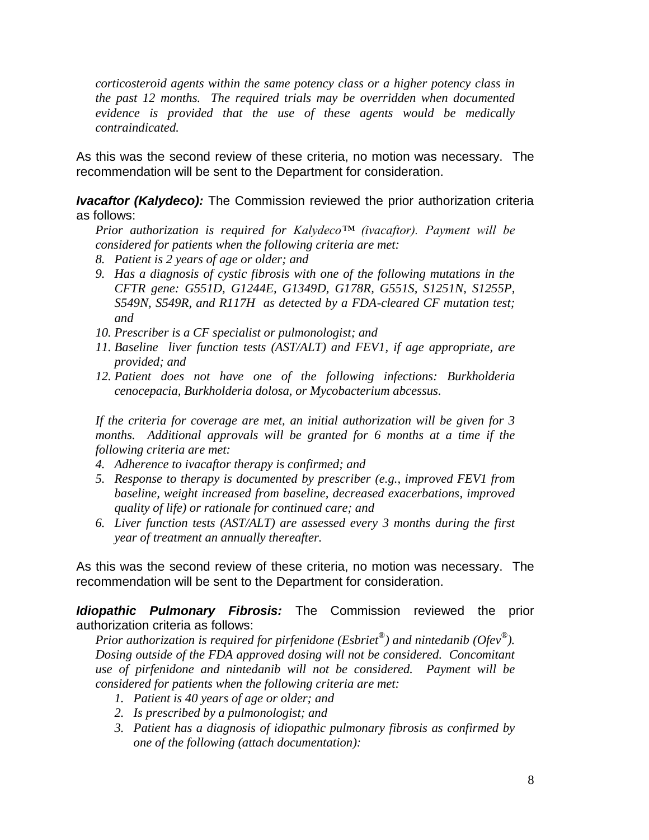*corticosteroid agents within the same potency class or a higher potency class in the past 12 months. The required trials may be overridden when documented evidence is provided that the use of these agents would be medically contraindicated.*

As this was the second review of these criteria, no motion was necessary. The recommendation will be sent to the Department for consideration.

*Ivacaftor (Kalydeco):* The Commission reviewed the prior authorization criteria as follows:

*Prior authorization is required for Kalydeco™ (ivacaftor). Payment will be considered for patients when the following criteria are met:* 

- *8. Patient is 2 years of age or older; and*
- *9. Has a diagnosis of cystic fibrosis with one of the following mutations in the CFTR gene: G551D, G1244E, G1349D, G178R, G551S, S1251N, S1255P, S549N, S549R, and R117H as detected by a FDA-cleared CF mutation test; and*
- *10. Prescriber is a CF specialist or pulmonologist; and*
- *11. Baseline liver function tests (AST/ALT) and FEV1, if age appropriate, are provided; and*
- *12. Patient does not have one of the following infections: Burkholderia cenocepacia, Burkholderia dolosa, or Mycobacterium abcessus.*

*If the criteria for coverage are met, an initial authorization will be given for 3*  months. Additional approvals will be granted for 6 months at a time if the *following criteria are met:*

- *4. Adherence to ivacaftor therapy is confirmed; and*
- *5. Response to therapy is documented by prescriber (e.g., improved FEV1 from baseline, weight increased from baseline, decreased exacerbations, improved quality of life) or rationale for continued care; and*
- *6. Liver function tests (AST/ALT) are assessed every 3 months during the first year of treatment an annually thereafter.*

As this was the second review of these criteria, no motion was necessary. The recommendation will be sent to the Department for consideration.

*Idiopathic Pulmonary Fibrosis:* The Commission reviewed the prior authorization criteria as follows:

*Prior authorization is required for pirfenidone (Esbriet® ) and nintedanib (Ofev® ). Dosing outside of the FDA approved dosing will not be considered. Concomitant use of pirfenidone and nintedanib will not be considered. Payment will be considered for patients when the following criteria are met:* 

- *1. Patient is 40 years of age or older; and*
- *2. Is prescribed by a pulmonologist; and*
- *3. Patient has a diagnosis of idiopathic pulmonary fibrosis as confirmed by one of the following (attach documentation):*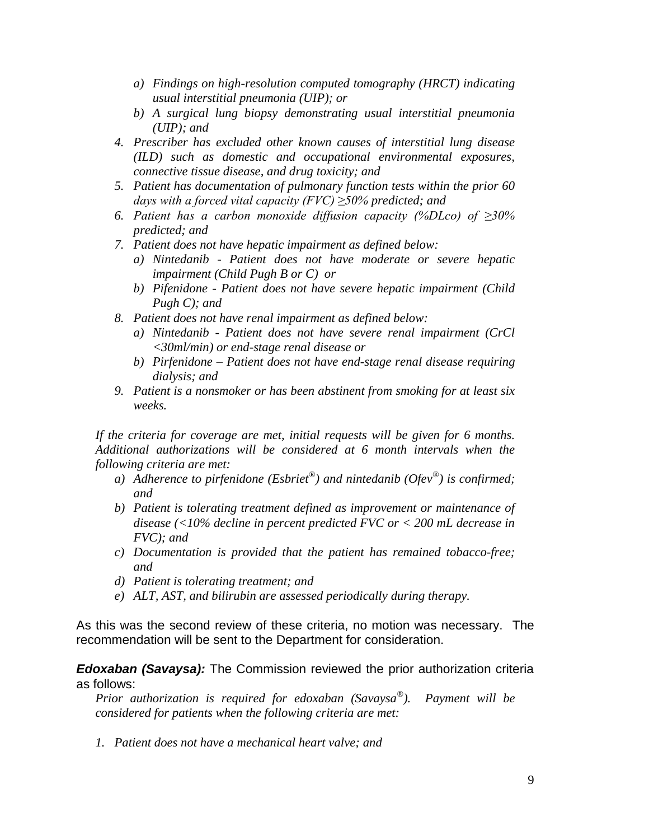- *a) Findings on high-resolution computed tomography (HRCT) indicating usual interstitial pneumonia (UIP); or*
- *b) A surgical lung biopsy demonstrating usual interstitial pneumonia (UIP); and*
- *4. Prescriber has excluded other known causes of interstitial lung disease (ILD) such as domestic and occupational environmental exposures, connective tissue disease, and drug toxicity; and*
- *5. Patient has documentation of pulmonary function tests within the prior 60 days with a forced vital capacity (FVC) ≥50% predicted; and*
- *6. Patient has a carbon monoxide diffusion capacity (%DLco) of ≥30% predicted; and*
- *7. Patient does not have hepatic impairment as defined below:*
	- *a) Nintedanib - Patient does not have moderate or severe hepatic impairment (Child Pugh B or C) or*
	- *b) Pifenidone - Patient does not have severe hepatic impairment (Child Pugh C); and*
- *8. Patient does not have renal impairment as defined below:*
	- *a) Nintedanib - Patient does not have severe renal impairment (CrCl <30ml/min) or end-stage renal disease or*
	- *b) Pirfenidone – Patient does not have end-stage renal disease requiring dialysis; and*
- *9. Patient is a nonsmoker or has been abstinent from smoking for at least six weeks.*

*If the criteria for coverage are met, initial requests will be given for 6 months. Additional authorizations will be considered at 6 month intervals when the following criteria are met:*

- *a) Adherence to pirfenidone (Esbriet® ) and nintedanib (Ofev® ) is confirmed; and*
- *b) Patient is tolerating treatment defined as improvement or maintenance of disease (<10% decline in percent predicted FVC or < 200 mL decrease in FVC); and*
- *c) Documentation is provided that the patient has remained tobacco-free; and*
- *d) Patient is tolerating treatment; and*
- *e) ALT, AST, and bilirubin are assessed periodically during therapy.*

As this was the second review of these criteria, no motion was necessary. The recommendation will be sent to the Department for consideration.

#### *Edoxaban (Savaysa):* The Commission reviewed the prior authorization criteria as follows:

*Prior authorization is required for edoxaban (Savaysa® ). Payment will be considered for patients when the following criteria are met:* 

*1. Patient does not have a mechanical heart valve; and*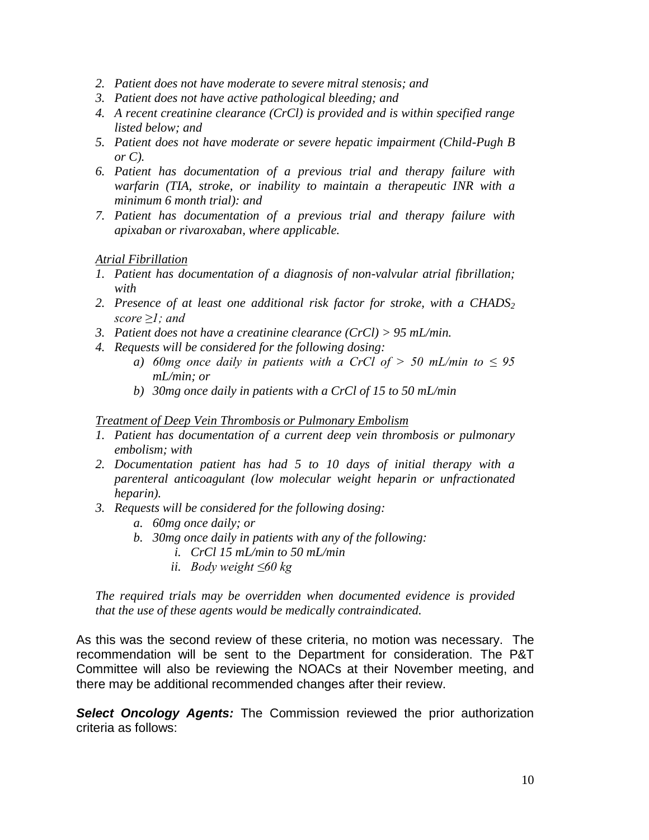- *2. Patient does not have moderate to severe mitral stenosis; and*
- *3. Patient does not have active pathological bleeding; and*
- *4. A recent creatinine clearance (CrCl) is provided and is within specified range listed below; and*
- *5. Patient does not have moderate or severe hepatic impairment (Child-Pugh B or C).*
- *6. Patient has documentation of a previous trial and therapy failure with warfarin (TIA, stroke, or inability to maintain a therapeutic INR with a minimum 6 month trial): and*
- *7. Patient has documentation of a previous trial and therapy failure with apixaban or rivaroxaban, where applicable.*

#### *Atrial Fibrillation*

- *1. Patient has documentation of a diagnosis of non-valvular atrial fibrillation; with*
- *2. Presence of at least one additional risk factor for stroke, with a CHADS<sup>2</sup> score ≥1; and*
- *3. Patient does not have a creatinine clearance (CrCl) > 95 mL/min.*
- *4. Requests will be considered for the following dosing:*
	- *a) 60mg once daily in patients with a CrCl of*  $>$  *50 mL/min to*  $\leq$  95 *mL/min; or*
	- *b) 30mg once daily in patients with a CrCl of 15 to 50 mL/min*

#### *Treatment of Deep Vein Thrombosis or Pulmonary Embolism*

- *1. Patient has documentation of a current deep vein thrombosis or pulmonary embolism; with*
- *2. Documentation patient has had 5 to 10 days of initial therapy with a parenteral anticoagulant (low molecular weight heparin or unfractionated heparin).*
- *3. Requests will be considered for the following dosing:*
	- *a. 60mg once daily; or*
	- *b. 30mg once daily in patients with any of the following:*
		- *i. CrCl 15 mL/min to 50 mL/min*
		- *ii. Body weight ≤60 kg*

*The required trials may be overridden when documented evidence is provided that the use of these agents would be medically contraindicated.*

As this was the second review of these criteria, no motion was necessary. The recommendation will be sent to the Department for consideration. The P&T Committee will also be reviewing the NOACs at their November meeting, and there may be additional recommended changes after their review.

*Select Oncology Agents:* The Commission reviewed the prior authorization criteria as follows: